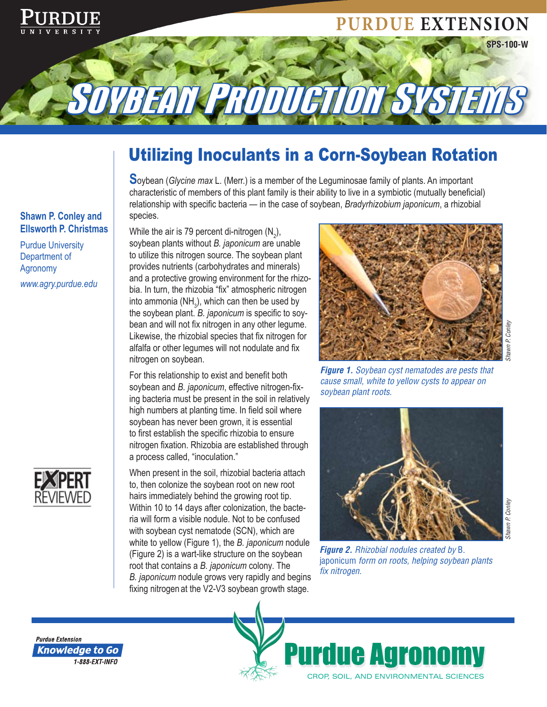# **Purdue Extension**



SOYBEAN PRODUCTION SYSTEMS

**S**oybean (*Glycine max* L. (Merr.) is a member of the Leguminosae family of plants. An important characteristic of members of this plant family is their ability to live in a symbiotic (mutually beneficial) relationship with specific bacteria — in the case of soybean, *Bradyrhizobium japonicum*, a rhizobial species.

#### **Shawn P. Conley and Ellsworth P. Christmas**

Purdue University Department of Agronomy *www.agry.purdue.edu*



While the air is 79 percent di-nitrogen (N<sub>2</sub>), soybean plants without *B. japonicum* are unable to utilize this nitrogen source. The soybean plant provides nutrients (carbohydrates and minerals) and a protective growing environment for the rhizobia. In turn, the rhizobia "fix" atmospheric nitrogen into ammonia (NH<sub>3</sub>), which can then be used by the soybean plant. *B. japonicum* is specific to soybean and will not fix nitrogen in any other legume. Likewise, the rhizobial species that fix nitrogen for alfalfa or other legumes will not nodulate and fix nitrogen on soybean.

For this relationship to exist and benefit both soybean and *B. japonicum*, effective nitrogen-fixing bacteria must be present in the soil in relatively high numbers at planting time. In field soil where soybean has never been grown, it is essential to first establish the specific rhizobia to ensure nitrogen fixation. Rhizobia are established through a process called, "inoculation."

When present in the soil, rhizobial bacteria attach to, then colonize the soybean root on new root hairs immediately behind the growing root tip. Within 10 to 14 days after colonization, the bacteria will form a visible nodule. Not to be confused with soybean cyst nematode (SCN), which are white to yellow (Figure 1), the *B. japonicum* nodule (Figure 2) is a wart-like structure on the soybean root that contains a *B. japonicum* colony*.* The *B. japonicum* nodule grows very rapidly and begins fixing nitrogen at the V2-V3 soybean growth stage.



*Shawn P. Conley*

**SPS-100-W**

*Figure 1. Soybean cyst nematodes are pests that cause small, white to yellow cysts to appear on soybean plant roots.*



*Figure 2. Rhizobial nodules created by* B. japonicum *form on roots, helping soybean plants fix nitrogen.*



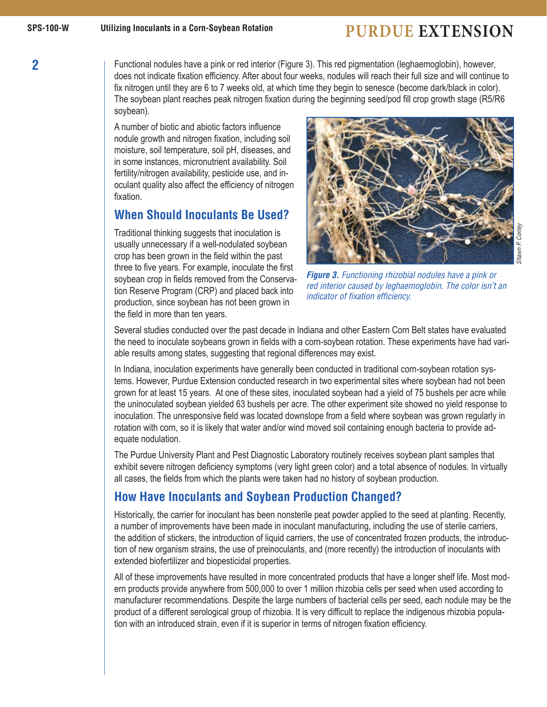**2**

# **Purdue Extension**

Functional nodules have a pink or red interior (Figure 3). This red pigmentation (leghaemoglobin), however, does not indicate fixation efficiency. After about four weeks, nodules will reach their full size and will continue to fix nitrogen until they are 6 to 7 weeks old, at which time they begin to senesce (become dark/black in color). The soybean plant reaches peak nitrogen fixation during the beginning seed/pod fill crop growth stage (R5/R6 soybean).

A number of biotic and abiotic factors influence nodule growth and nitrogen fixation, including soil moisture, soil temperature, soil pH, diseases, and in some instances, micronutrient availability. Soil fertility/nitrogen availability, pesticide use, and inoculant quality also affect the efficiency of nitrogen fixation.

## **When Should Inoculants Be Used?**

Traditional thinking suggests that inoculation is usually unnecessary if a well-nodulated soybean crop has been grown in the field within the past three to five years. For example, inoculate the first soybean crop in fields removed from the Conservation Reserve Program (CRP) and placed back into production, since soybean has not been grown in the field in more than ten years.



*Shawn P. Conley*

Shawn P. Conley

*Figure 3. Functioning rhizobial nodules have a pink or red interior caused by leghaemoglobin. The color isn't an indicator of fixation efficiency.*

Several studies conducted over the past decade in Indiana and other Eastern Corn Belt states have evaluated the need to inoculate soybeans grown in fields with a corn-soybean rotation. These experiments have had variable results among states, suggesting that regional differences may exist.

In Indiana, inoculation experiments have generally been conducted in traditional corn-soybean rotation systems. However, Purdue Extension conducted research in two experimental sites where soybean had not been grown for at least 15 years. At one of these sites, inoculated soybean had a yield of 75 bushels per acre while the uninoculated soybean yielded 63 bushels per acre. The other experiment site showed no yield response to inoculation. The unresponsive field was located downslope from a field where soybean was grown regularly in rotation with corn, so it is likely that water and/or wind moved soil containing enough bacteria to provide adequate nodulation.

The Purdue University Plant and Pest Diagnostic Laboratory routinely receives soybean plant samples that exhibit severe nitrogen deficiency symptoms (very light green color) and a total absence of nodules. In virtually all cases, the fields from which the plants were taken had no history of soybean production.

## **How Have Inoculants and Soybean Production Changed?**

Historically, the carrier for inoculant has been nonsterile peat powder applied to the seed at planting. Recently, a number of improvements have been made in inoculant manufacturing, including the use of sterile carriers, the addition of stickers, the introduction of liquid carriers, the use of concentrated frozen products, the introduction of new organism strains, the use of preinoculants, and (more recently) the introduction of inoculants with extended biofertilizer and biopesticidal properties.

All of these improvements have resulted in more concentrated products that have a longer shelf life. Most modern products provide anywhere from 500,000 to over 1 million rhizobia cells per seed when used according to manufacturer recommendations. Despite the large numbers of bacterial cells per seed, each nodule may be the product of a different serological group of rhizobia. It is very difficult to replace the indigenous rhizobia population with an introduced strain, even if it is superior in terms of nitrogen fixation efficiency.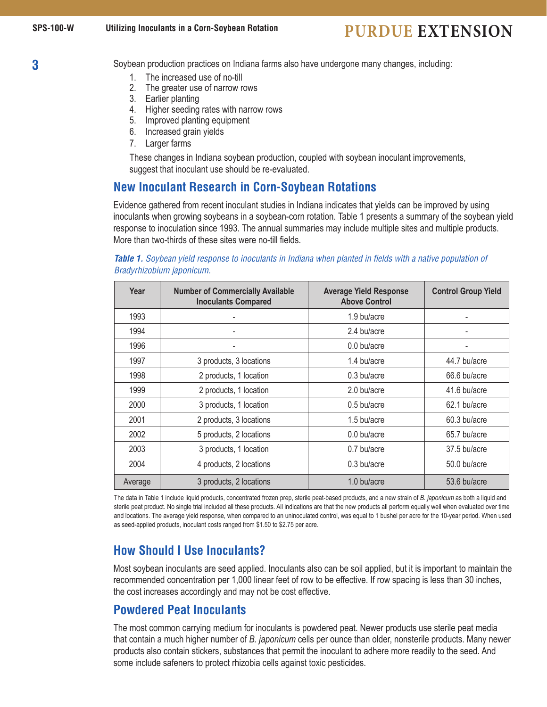**3**

Soybean production practices on Indiana farms also have undergone many changes, including:

- 1. The increased use of no-till
- 2. The greater use of narrow rows
- 3. Earlier planting
- 4. Higher seeding rates with narrow rows
- 5. Improved planting equipment
- 6. Increased grain yields
- 7. Larger farms

These changes in Indiana soybean production, coupled with soybean inoculant improvements, suggest that inoculant use should be re-evaluated.

## **New Inoculant Research in Corn-Soybean Rotations**

Evidence gathered from recent inoculant studies in Indiana indicates that yields can be improved by using inoculants when growing soybeans in a soybean-corn rotation. Table 1 presents a summary of the soybean yield response to inoculation since 1993. The annual summaries may include multiple sites and multiple products. More than two-thirds of these sites were no-till fields.

#### *Table 1. Soybean yield response to inoculants in Indiana when planted in fields with a native population of Bradyrhizobium japonicum.*

| Year    | <b>Number of Commercially Available</b><br><b>Inoculants Compared</b> | <b>Average Yield Response</b><br><b>Above Control</b> | <b>Control Group Yield</b> |
|---------|-----------------------------------------------------------------------|-------------------------------------------------------|----------------------------|
| 1993    |                                                                       | 1.9 bu/acre                                           |                            |
| 1994    |                                                                       | 2.4 bu/acre                                           |                            |
| 1996    |                                                                       | $0.0$ bu/acre                                         |                            |
| 1997    | 3 products, 3 locations                                               | 1.4 bu/acre                                           | 44.7 bu/acre               |
| 1998    | 2 products, 1 location                                                | $0.3$ bu/acre                                         | 66.6 bu/acre               |
| 1999    | 2 products, 1 location                                                | 2.0 bu/acre                                           | 41.6 bu/acre               |
| 2000    | 3 products, 1 location                                                | $0.5$ bu/acre                                         | 62.1 bu/acre               |
| 2001    | 2 products, 3 locations                                               | 1.5 bu/acre                                           | 60.3 bu/acre               |
| 2002    | 5 products, 2 locations                                               | $0.0$ bu/acre                                         | 65.7 bu/acre               |
| 2003    | 3 products, 1 location                                                | $0.7$ bu/acre                                         | 37.5 bu/acre               |
| 2004    | 4 products, 2 locations                                               | $0.3$ bu/acre                                         | 50.0 bu/acre               |
| Average | 3 products, 2 locations                                               | 1.0 bu/acre                                           | 53.6 bu/acre               |

The data in Table 1 include liquid products, concentrated frozen prep, sterile peat-based products, and a new strain of *B. japonicum* as both a liquid and sterile peat product. No single trial included all these products. All indications are that the new products all perform equally well when evaluated over time and locations. The average yield response, when compared to an uninoculated control, was equal to 1 bushel per acre for the 10-year period. When used as seed-applied products, inoculant costs ranged from \$1.50 to \$2.75 per acre.

## **How Should I Use Inoculants?**

Most soybean inoculants are seed applied. Inoculants also can be soil applied, but it is important to maintain the recommended concentration per 1,000 linear feet of row to be effective. If row spacing is less than 30 inches, the cost increases accordingly and may not be cost effective.

## **Powdered Peat Inoculants**

The most common carrying medium for inoculants is powdered peat. Newer products use sterile peat media that contain a much higher number of *B. japonicum* cells per ounce than older, nonsterile products. Many newer products also contain stickers, substances that permit the inoculant to adhere more readily to the seed. And some include safeners to protect rhizobia cells against toxic pesticides.